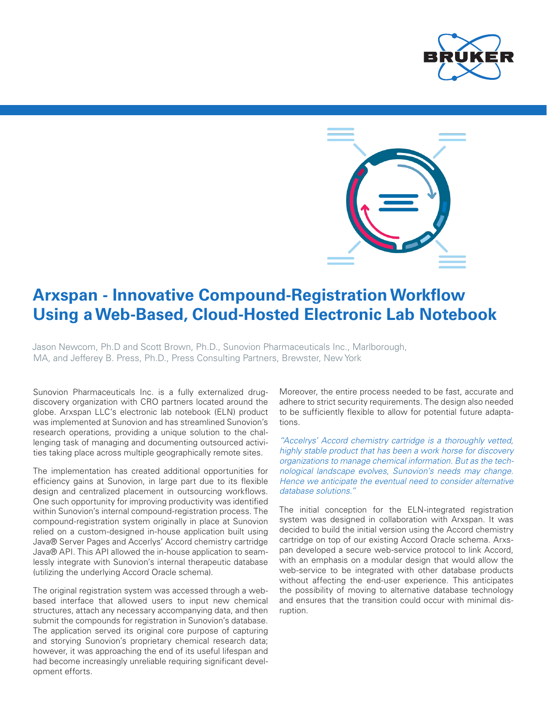



# **Arxspan - Innovative Compound-Registration Workflow Using a Web-Based, Cloud-Hosted Electronic Lab Notebook**

Jason Newcom, Ph.D and Scott Brown, Ph.D., Sunovion Pharmaceuticals Inc., Marlborough, MA, and Jefferey B. Press, Ph.D., Press Consulting Partners, Brewster, New York

Sunovion Pharmaceuticals Inc. is a fully externalized drugdiscovery organization with CRO partners located around the globe. Arxspan LLC's electronic lab notebook (ELN) product was implemented at Sunovion and has streamlined Sunovion's research operations, providing a unique solution to the challenging task of managing and documenting outsourced activities taking place across multiple geographically remote sites.

The implementation has created additional opportunities for efficiency gains at Sunovion, in large part due to its flexible design and centralized placement in outsourcing workflows. One such opportunity for improving productivity was identified within Sunovion's internal compound-registration process. The compound-registration system originally in place at Sunovion relied on a custom-designed in-house application built using Java® Server Pages and Accerlys' Accord chemistry cartridge Java® API. This API allowed the in-house application to seamlessly integrate with Sunovion's internal therapeutic database (utilizing the underlying Accord Oracle schema).

The original registration system was accessed through a webbased interface that allowed users to input new chemical structures, attach any necessary accompanying data, and then submit the compounds for registration in Sunovion's database. The application served its original core purpose of capturing and storying Sunovion's proprietary chemical research data; however, it was approaching the end of its useful lifespan and had become increasingly unreliable requiring significant development efforts.

Moreover, the entire process needed to be fast, accurate and adhere to strict security requirements. The design also needed to be sufficiently flexible to allow for potential future adaptations.

*"Accelrys' Accord chemistry cartridge is a thoroughly vetted, highly stable product that has been a work horse for discovery organizations to manage chemical information. But as the technological landscape evolves, Sunovion's needs may change. Hence we anticipate the eventual need to consider alternative database solutions."*

The initial conception for the ELN-integrated registration system was designed in collaboration with Arxspan. It was decided to build the initial version using the Accord chemistry cartridge on top of our existing Accord Oracle schema. Arxspan developed a secure web-service protocol to link Accord, with an emphasis on a modular design that would allow the web-service to be integrated with other database products without affecting the end-user experience. This anticipates the possibility of moving to alternative database technology and ensures that the transition could occur with minimal disruption.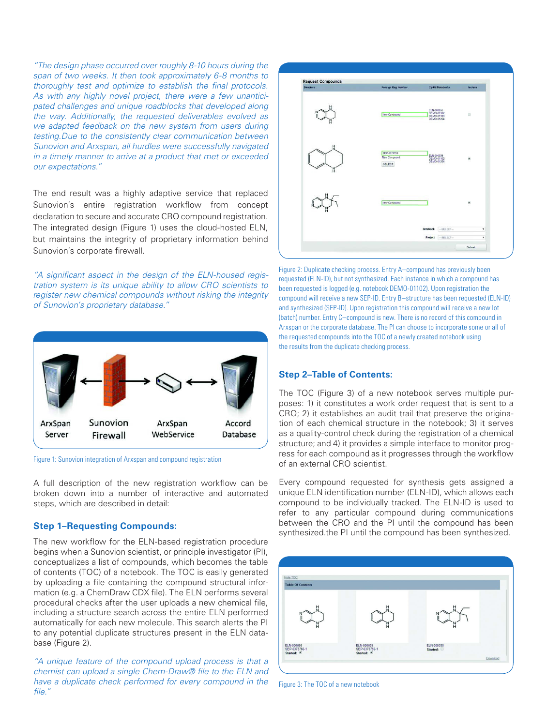*"The design phase occurred over roughly 8-10 hours during the span of two weeks. It then took approximately 6-8 months to thoroughly test and optimize to establish the final protocols. As with any highly novel project, there were a few unanticipated challenges and unique roadblocks that developed along the way. Additionally, the requested deliverables evolved as we adapted feedback on the new system from users during testing.Due to the consistently clear communication between Sunovion and Arxspan, all hurdles were successfully navigated in a timely manner to arrive at a product that met or exceeded our expectations."*

The end result was a highly adaptive service that replaced Sunovion's entire registration workflow from concept declaration to secure and accurate CRO compound registration. The integrated design (Figure 1) uses the cloud-hosted ELN, but maintains the integrity of proprietary information behind Sunovion's corporate firewall.

*"A significant aspect in the design of the ELN-housed registration system is its unique ability to allow CRO scientists to register new chemical compounds without risking the integrity of Sunovion's proprietary database."* 



Figure 1: Sunovion integration of Arxspan and compound registration

A full description of the new registration workflow can be broken down into a number of interactive and automated steps, which are described in detail:

## **Step 1–Requesting Compounds:**

The new workflow for the ELN-based registration procedure begins when a Sunovion scientist, or principle investigator (PI), conceptualizes a list of compounds, which becomes the table of contents (TOC) of a notebook. The TOC is easily generated by uploading a file containing the compound structural information (e.g. a ChemDraw CDX file). The ELN performs several procedural checks after the user uploads a new chemical file, including a structure search across the entire ELN performed automatically for each new molecule. This search alerts the PI to any potential duplicate structures present in the ELN database (Figure 2).

*"A unique feature of the compound upload process is that a chemist can upload a single Chem-Draw® file to the ELN and have a duplicate check performed for every compound in the file."*



Figure 2: Duplicate checking process. Entry A–compound has previously been requested (ELN-ID), but not synthesized. Each instance in which a compound has been requested is logged (e.g. notebook DEMO-01102). Upon registration the compound will receive a new SEP-ID. Entry B–structure has been requested (ELN-ID) and synthesized (SEP-ID). Upon registration this compound will receive a new lot (batch) number. Entry C–compound is new. There is no record of this compound in Arxspan or the corporate database. The PI can choose to incorporate some or all of the requested compounds into the TOC of a newly created notebook using the results from the duplicate checking process.

## **Step 2–Table of Contents:**

The TOC (Figure 3) of a new notebook serves multiple purposes: 1) it constitutes a work order request that is sent to a CRO; 2) it establishes an audit trail that preserve the origination of each chemical structure in the notebook; 3) it serves as a quality-control check during the registration of a chemical structure; and 4) it provides a simple interface to monitor progress for each compound as it progresses through the workflow of an external CRO scientist.

Every compound requested for synthesis gets assigned a unique ELN identification number (ELN-ID), which allows each compound to be individually tracked. The ELN-ID is used to refer to any particular compound during communications between the CRO and the PI until the compound has been synthesized.the PI until the compound has been synthesized.



Figure 3: The TOC of a new notebook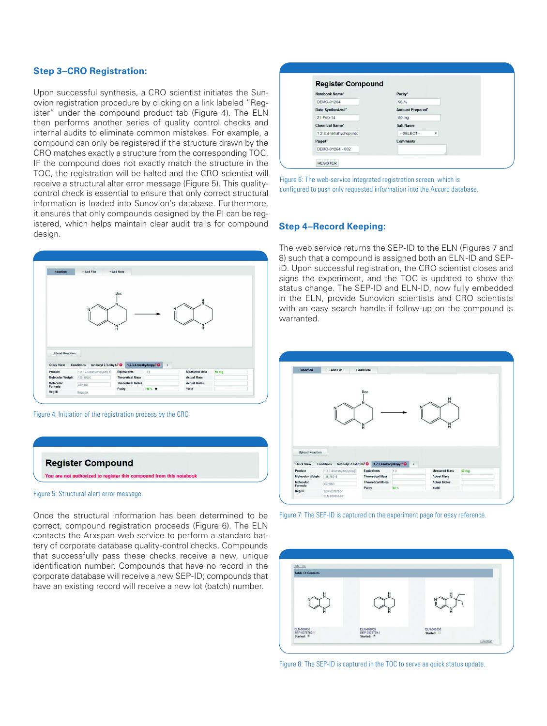#### **Step 3–CRO Registration:**

Upon successful synthesis, a CRO scientist initiates the Sunovion registration procedure by clicking on a link labeled "Register" under the compound product tab (Figure 4). The ELN then performs another series of quality control checks and internal audits to eliminate common mistakes. For example, a compound can only be registered if the structure drawn by the CRO matches exactly a structure from the corresponding TOC. IF the compound does not exactly match the structure in the TOC, the registration will be halted and the CRO scientist will receive a structural alter error message (Figure 5). This qualitycontrol check is essential to ensure that only correct structural information is loaded into Sunovion's database. Furthermore, it ensures that only compounds designed by the PI can be registered, which helps maintain clear audit trails for compound design.



Figure 4: Initiation of the registration process by the CRO



Once the structural information has been determined to be correct, compound registration proceeds (Figure 6). The ELN contacts the Arxspan web service to perform a standard battery of corporate database quality-control checks. Compounds that successfully pass these checks receive a new, unique identification number. Compounds that have no record in the corporate database will receive a new SEP-ID; compounds that have an existing record will receive a new lot (batch) number.

| <b>Register Compound</b> |                         |
|--------------------------|-------------------------|
| Notebook Name*           | Purity <sup>*</sup>     |
| DEMO-01264               | 98%                     |
| Date Synthesized*        | <b>Amount Prepared®</b> |
| 21-Feb-14                | 50 mg                   |
| <b>Chemical Name*</b>    | <b>Salt Name</b>        |
| 1.2.3.4-tetrahydropyridc | $-SELECT-$<br>۰         |
| Page#*                   | <b>Comments</b>         |
| DEMO-01264 - 002         |                         |

Figure 6: The web-service integrated registration screen, which is configured to push only requested information into the Accord database.

#### **Step 4–Record Keeping:**

**Figure 3** iD. Upon successful registration, the CRO scientist closes and The web service returns the SEP-ID to the ELN (Figures 7 and 8) such that a compound is assigned both an ELN-ID and SEPsigns the experiment, and the TOC is updated to show the status change. The SEP-ID and ELN-ID, now fully embedded in the ELN, provide Sunovion scientists and CRO scientists with an easy search handle if follow-up on the compound is warranted.



Figure 7: The SEP-ID is captured on the experiment page for easy reference.



Figure 8: The SEP-ID is captured in the TOC to serve as quick status update.